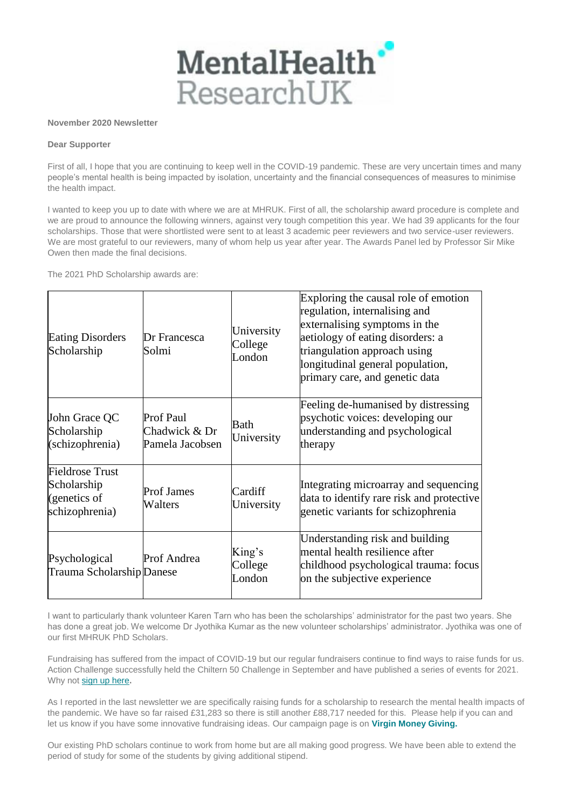

## **November 2020 Newsletter**

## **Dear Supporter**

First of all, I hope that you are continuing to keep well in the COVID-19 pandemic. These are very uncertain times and many people's mental health is being impacted by isolation, uncertainty and the financial consequences of measures to minimise the health impact.

I wanted to keep you up to date with where we are at MHRUK. First of all, the scholarship award procedure is complete and we are proud to announce the following winners, against very tough competition this year. We had 39 applicants for the four scholarships. Those that were shortlisted were sent to at least 3 academic peer reviewers and two service-user reviewers. We are most grateful to our reviewers, many of whom help us year after year. The Awards Panel led by Professor Sir Mike Owen then made the final decisions.

The 2021 PhD Scholarship awards are:

| <b>Eating Disorders</b><br>Scholarship                                  | Dr Francesca<br>Solmi                                | University<br>College<br>London | Exploring the causal role of emotion<br>regulation, internalising and<br>externalising symptoms in the<br>aetiology of eating disorders: a<br>triangulation approach using<br>longitudinal general population,<br>primary care, and genetic data |
|-------------------------------------------------------------------------|------------------------------------------------------|---------------------------------|--------------------------------------------------------------------------------------------------------------------------------------------------------------------------------------------------------------------------------------------------|
| John Grace QC<br>Scholarship<br>(schizophrenia)                         | <b>Prof Paul</b><br>Chadwick & Dr<br>Pamela Jacobsen | Bath<br>University              | Feeling de-humanised by distressing<br>psychotic voices: developing our<br>understanding and psychological<br>therapy                                                                                                                            |
| <b>Fieldrose Trust</b><br>Scholarship<br>(genetics of<br>schizophrenia) | <b>Prof James</b><br>Walters                         | Cardiff<br>University           | Integrating microarray and sequencing<br>data to identify rare risk and protective<br>genetic variants for schizophrenia                                                                                                                         |
| Psychological<br>Trauma Scholarship Danese                              | Prof Andrea                                          | King's<br>College<br>London     | Understanding risk and building<br>mental health resilience after<br>childhood psychological trauma: focus<br>on the subjective experience                                                                                                       |

I want to particularly thank volunteer Karen Tarn who has been the scholarships' administrator for the past two years. She has done a great job. We welcome Dr Jyothika Kumar as the new volunteer scholarships' administrator. Jyothika was one of our first MHRUK PhD Scholars.

Fundraising has suffered from the impact of COVID-19 but our regular fundraisers continue to find ways to raise funds for us. Action Challenge successfully held the Chiltern 50 Challenge in September and have published a series of events for 2021. Why not [sign up here](http://www.mentalhealthresearchuk.org.uk/fundraising-events-and-challenges/ultra-challenge)**.**

As I reported in the last newsletter we are specifically raising funds for a scholarship to research the mental health impacts of the pandemic. We have so far raised £31,283 so there is still another £88,717 needed for this. Please help if you can and let us know if you have some innovative fundraising ideas. Our campaign page is on **[Virgin Money Giving.](https://uk.virginmoneygiving.com/charity-web/charity/displayCharityCampaignPage.action?campaignId=13125&charityId=1005302)**

Our existing PhD scholars continue to work from home but are all making good progress. We have been able to extend the period of study for some of the students by giving additional stipend.